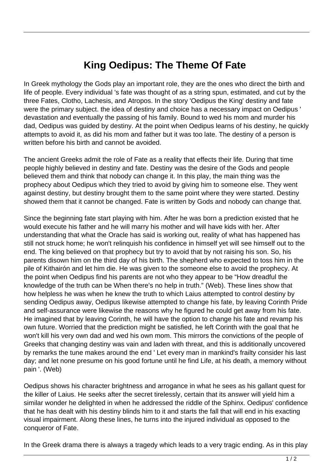## **King Oedipus: The Theme Of Fate**

In Greek mythology the Gods play an important role, they are the ones who direct the birth and life of people. Every individual 's fate was thought of as a string spun, estimated, and cut by the three Fates, Clotho, Lachesis, and Atropos. In the story 'Oedipus the King' destiny and fate were the primary subject. the idea of destiny and choice has a necessary impact on Oedipus ' devastation and eventually the passing of his family. Bound to wed his mom and murder his dad, Oedipus was guided by destiny. At the point when Oedipus learns of his destiny, he quickly attempts to avoid it, as did his mom and father but it was too late. The destiny of a person is written before his birth and cannot be avoided.

The ancient Greeks admit the role of Fate as a reality that effects their life. During that time people highly believed in destiny and fate. Destiny was the desire of the Gods and people believed them and think that nobody can change it. In this play, the main thing was the prophecy about Oedipus which they tried to avoid by giving him to someone else. They went against destiny, but destiny brought them to the same point where they were started. Destiny showed them that it cannot be changed. Fate is written by Gods and nobody can change that.

Since the beginning fate start playing with him. After he was born a prediction existed that he would execute his father and he will marry his mother and will have kids with her. After understanding that what the Oracle has said is working out, reality of what has happened has still not struck home; he won't relinquish his confidence in himself yet will see himself out to the end. The king believed on that prophecy but try to avoid that by not raising his son. So, his parents disown him on the third day of his birth. The shepherd who expected to toss him in the pile of Kithairón and let him die. He was given to the someone else to avoid the prophecy. At the point when Oedipus find his parents are not who they appear to be "How dreadful the knowledge of the truth can be When there's no help in truth." (Web). These lines show that how helpless he was when he knew the truth to which Laius attempted to control destiny by sending Oedipus away, Oedipus likewise attempted to change his fate, by leaving Corinth Pride and self-assurance were likewise the reasons why he figured he could get away from his fate. He imagined that by leaving Corinth, he will have the option to change his fate and revamp his own future. Worried that the prediction might be satisfied, he left Corinth with the goal that he won't kill his very own dad and wed his own mom. This mirrors the convictions of the people of Greeks that changing destiny was vain and laden with threat, and this is additionally uncovered by remarks the tune makes around the end ' Let every man in mankind's frailty consider his last day; and let none presume on his good fortune until he find Life, at his death, a memory without pain '. (Web)

Oedipus shows his character brightness and arrogance in what he sees as his gallant quest for the killer of Laius. He seeks after the secret tirelessly, certain that its answer will yield him a similar wonder he delighted in when he addressed the riddle of the Sphinx. Oedipus' confidence that he has dealt with his destiny blinds him to it and starts the fall that will end in his exacting visual impairment. Along these lines, he turns into the injured individual as opposed to the conqueror of Fate.

In the Greek drama there is always a tragedy which leads to a very tragic ending. As in this play